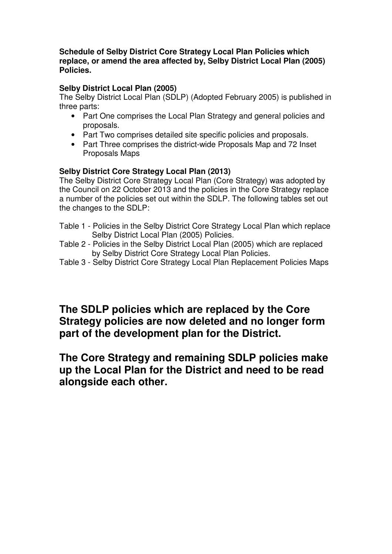**Schedule of Selby District Core Strategy Local Plan Policies which replace, or amend the area affected by, Selby District Local Plan (2005) Policies.**

## **Selby District Local Plan (2005)**

The Selby District Local Plan (SDLP) (Adopted February 2005) is published in three parts:

- Part One comprises the Local Plan Strategy and general policies and proposals.
- Part Two comprises detailed site specific policies and proposals.
- Part Three comprises the district-wide Proposals Map and 72 Inset Proposals Maps

## **Selby District Core Strategy Local Plan (2013)**

The Selby District Core Strategy Local Plan (Core Strategy) was adopted by the Council on 22 October 2013 and the policies in the Core Strategy replace a number of the policies set out within the SDLP. The following tables set out the changes to the SDLP:

- Table 1 Policies in the Selby District Core Strategy Local Plan which replace Selby District Local Plan (2005) Policies.
- Table 2 Policies in the Selby District Local Plan (2005) which are replaced by Selby District Core Strategy Local Plan Policies.
- Table 3 Selby District Core Strategy Local Plan Replacement Policies Maps

## **The SDLP policies which are replaced by the Core Strategy policies are now deleted and no longer form part of the development plan for the District.**

**The Core Strategy and remaining SDLP policies make up the Local Plan for the District and need to be read alongside each other.**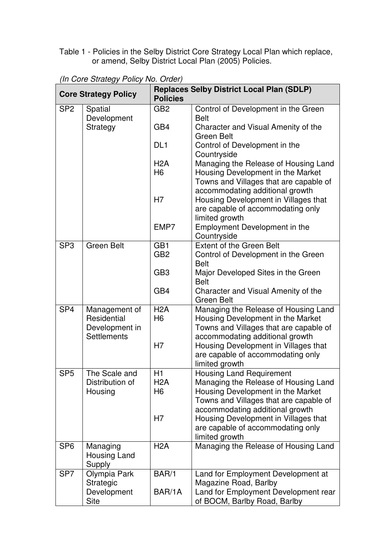Table 1 - Policies in the Selby District Core Strategy Local Plan which replace, or amend, Selby District Local Plan (2005) Policies.

| <b>Core Strategy Policy</b> |                                                                      | <b>Replaces Selby District Local Plan (SDLP)</b><br><b>Policies</b> |                                                                                                                                                        |  |
|-----------------------------|----------------------------------------------------------------------|---------------------------------------------------------------------|--------------------------------------------------------------------------------------------------------------------------------------------------------|--|
| SP <sub>2</sub><br>Spatial  |                                                                      | GB <sub>2</sub>                                                     | Control of Development in the Green                                                                                                                    |  |
|                             | Development<br>Strategy                                              | GB4                                                                 | <b>Belt</b><br>Character and Visual Amenity of the<br>Green Belt                                                                                       |  |
|                             |                                                                      | DL <sub>1</sub>                                                     | Control of Development in the<br>Countryside                                                                                                           |  |
|                             |                                                                      | H2A<br>H <sub>6</sub>                                               | Managing the Release of Housing Land<br>Housing Development in the Market<br>Towns and Villages that are capable of<br>accommodating additional growth |  |
|                             |                                                                      | H7                                                                  | Housing Development in Villages that<br>are capable of accommodating only                                                                              |  |
|                             |                                                                      | EMP7                                                                | limited growth<br>Employment Development in the<br>Countryside                                                                                         |  |
| SP <sub>3</sub>             | <b>Green Belt</b>                                                    | GB <sub>1</sub><br>GB <sub>2</sub>                                  | <b>Extent of the Green Belt</b><br>Control of Development in the Green<br><b>Belt</b>                                                                  |  |
|                             |                                                                      | GB <sub>3</sub>                                                     | Major Developed Sites in the Green<br><b>Belt</b>                                                                                                      |  |
|                             |                                                                      | GB4                                                                 | Character and Visual Amenity of the<br>Green Belt                                                                                                      |  |
| SP <sub>4</sub>             | Management of<br>Residential<br>Development in<br><b>Settlements</b> | H2A<br>H <sub>6</sub>                                               | Managing the Release of Housing Land<br>Housing Development in the Market<br>Towns and Villages that are capable of<br>accommodating additional growth |  |
|                             |                                                                      | H7                                                                  | Housing Development in Villages that<br>are capable of accommodating only<br>limited growth                                                            |  |
| SP <sub>5</sub>             | The Scale and<br>Distribution of<br>Housing                          | H1<br>H <sub>2</sub> A<br>H <sub>6</sub>                            | <b>Housing Land Requirement</b><br>Managing the Release of Housing Land<br>Housing Development in the Market<br>Towns and Villages that are capable of |  |
|                             |                                                                      | H7                                                                  | accommodating additional growth<br>Housing Development in Villages that<br>are capable of accommodating only<br>limited growth                         |  |
| SP <sub>6</sub>             | Managing<br>Housing Land<br>Supply                                   | H <sub>2</sub> A                                                    | Managing the Release of Housing Land                                                                                                                   |  |
| SP <sub>7</sub>             | Olympia Park<br>Strategic                                            | BAR/1                                                               | Land for Employment Development at<br>Magazine Road, Barlby                                                                                            |  |
|                             | Development<br><b>Site</b>                                           | BAR/1A                                                              | Land for Employment Development rear<br>of BOCM, Barlby Road, Barlby                                                                                   |  |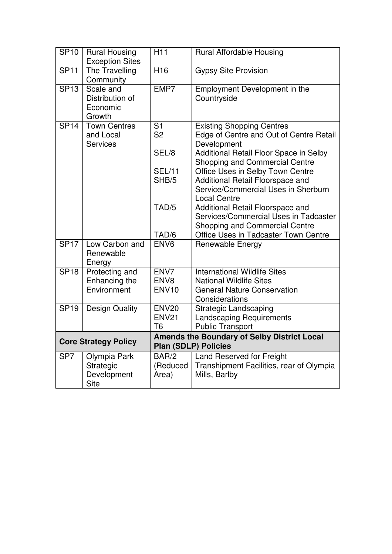| <b>SP10</b>     | <b>Rural Housing</b><br><b>Exception Sites</b>      | H <sub>11</sub>                                                                   | <b>Rural Affordable Housing</b>                                                                  |  |
|-----------------|-----------------------------------------------------|-----------------------------------------------------------------------------------|--------------------------------------------------------------------------------------------------|--|
| <b>SP11</b>     | The Travelling<br>Community                         | H <sub>16</sub>                                                                   | <b>Gypsy Site Provision</b>                                                                      |  |
| <b>SP13</b>     | Scale and<br>Distribution of<br>Economic<br>Growth  | EMP7                                                                              | Employment Development in the<br>Countryside                                                     |  |
| <b>SP14</b>     | <b>Town Centres</b><br>and Local<br><b>Services</b> | S <sub>1</sub><br>S <sub>2</sub>                                                  | <b>Existing Shopping Centres</b><br>Edge of Centre and Out of Centre Retail<br>Development       |  |
|                 |                                                     | SEL/8                                                                             | Additional Retail Floor Space in Selby<br>Shopping and Commercial Centre                         |  |
|                 |                                                     | <b>SEL/11</b>                                                                     | Office Uses in Selby Town Centre                                                                 |  |
|                 |                                                     | SHB/5                                                                             | Additional Retail Floorspace and                                                                 |  |
|                 |                                                     |                                                                                   | Service/Commercial Uses in Sherburn                                                              |  |
|                 |                                                     | TAD/5                                                                             | <b>Local Centre</b><br>Additional Retail Floorspace and<br>Services/Commercial Uses in Tadcaster |  |
|                 |                                                     | TAD/6                                                                             | Shopping and Commercial Centre<br>Office Uses in Tadcaster Town Centre                           |  |
| <b>SP17</b>     | Low Carbon and                                      | ENV <sub>6</sub>                                                                  | <b>Renewable Energy</b>                                                                          |  |
|                 | Renewable                                           |                                                                                   |                                                                                                  |  |
|                 | Energy                                              |                                                                                   |                                                                                                  |  |
| <b>SP18</b>     | Protecting and                                      | ENV7                                                                              | <b>International Wildlife Sites</b>                                                              |  |
|                 | Enhancing the                                       | ENV <sub>8</sub>                                                                  | <b>National Wildlife Sites</b>                                                                   |  |
|                 | Environment                                         | <b>ENV10</b>                                                                      | <b>General Nature Conservation</b><br>Considerations                                             |  |
| <b>SP19</b>     | <b>Design Quality</b>                               | <b>ENV20</b>                                                                      | <b>Strategic Landscaping</b>                                                                     |  |
|                 |                                                     | <b>ENV21</b>                                                                      | <b>Landscaping Requirements</b>                                                                  |  |
|                 |                                                     | T <sub>6</sub>                                                                    | <b>Public Transport</b>                                                                          |  |
|                 | <b>Core Strategy Policy</b>                         | <b>Amends the Boundary of Selby District Local</b><br><b>Plan (SDLP) Policies</b> |                                                                                                  |  |
| SP <sub>7</sub> | Olympia Park                                        | BAR/2                                                                             | Land Reserved for Freight                                                                        |  |
|                 | Strategic                                           | (Reduced                                                                          | Transhipment Facilities, rear of Olympia                                                         |  |
|                 | Development<br><b>Site</b>                          | Area)                                                                             | Mills, Barlby                                                                                    |  |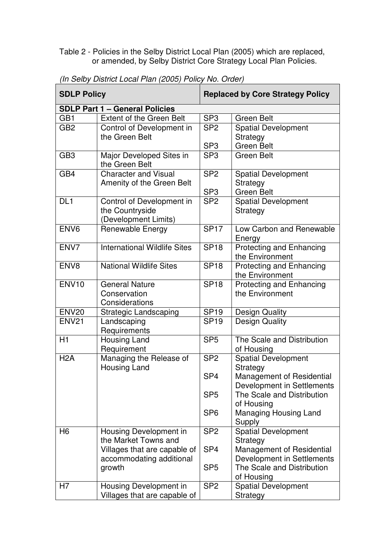Table 2 - Policies in the Selby District Local Plan (2005) which are replaced, or amended, by Selby District Core Strategy Local Plan Policies.

 $\overline{ }$ 

| <b>SDLP Policy</b>                    |                                             | <b>Replaced by Core Strategy Policy</b> |                                                |  |
|---------------------------------------|---------------------------------------------|-----------------------------------------|------------------------------------------------|--|
| <b>SDLP Part 1 - General Policies</b> |                                             |                                         |                                                |  |
| GB1                                   | <b>Extent of the Green Belt</b>             | SP <sub>3</sub>                         | Green Belt                                     |  |
| GB <sub>2</sub>                       | Control of Development in                   | SP <sub>2</sub>                         | <b>Spatial Development</b>                     |  |
|                                       | the Green Belt                              |                                         | Strategy                                       |  |
|                                       |                                             | SP <sub>3</sub>                         | <b>Green Belt</b>                              |  |
| GB <sub>3</sub>                       | Major Developed Sites in<br>the Green Belt  | SP <sub>3</sub>                         | <b>Green Belt</b>                              |  |
| GB4                                   | <b>Character and Visual</b>                 | SP <sub>2</sub>                         | <b>Spatial Development</b>                     |  |
|                                       | Amenity of the Green Belt                   |                                         | Strategy                                       |  |
|                                       |                                             | SP <sub>3</sub>                         | <b>Green Belt</b>                              |  |
| DL <sub>1</sub>                       | Control of Development in                   | SP <sub>2</sub>                         | <b>Spatial Development</b>                     |  |
|                                       | the Countryside<br>(Development Limits)     |                                         | Strategy                                       |  |
| ENV <sub>6</sub>                      | Renewable Energy                            | <b>SP17</b>                             | Low Carbon and Renewable                       |  |
|                                       |                                             |                                         | Energy                                         |  |
| ENV7                                  | <b>International Wildlife Sites</b>         | <b>SP18</b>                             | <b>Protecting and Enhancing</b>                |  |
|                                       |                                             |                                         | the Environment                                |  |
| ENV <sub>8</sub>                      | <b>National Wildlife Sites</b>              | <b>SP18</b>                             | <b>Protecting and Enhancing</b>                |  |
|                                       |                                             |                                         | the Environment                                |  |
| <b>ENV10</b>                          | <b>General Nature</b>                       | <b>SP18</b>                             | Protecting and Enhancing                       |  |
|                                       | Conservation                                |                                         | the Environment                                |  |
| <b>ENV20</b>                          | Considerations                              | <b>SP19</b>                             |                                                |  |
| <b>ENV21</b>                          | <b>Strategic Landscaping</b><br>Landscaping | <b>SP19</b>                             | <b>Design Quality</b><br><b>Design Quality</b> |  |
|                                       | Requirements                                |                                         |                                                |  |
| H1                                    | Housing Land                                | SP <sub>5</sub>                         | The Scale and Distribution                     |  |
|                                       | Requirement                                 |                                         | of Housing                                     |  |
| H2A                                   | Managing the Release of                     | SP <sub>2</sub>                         | Spatial Development                            |  |
|                                       | <b>Housing Land</b>                         |                                         | Strategy                                       |  |
|                                       |                                             | SP <sub>4</sub>                         | Management of Residential                      |  |
|                                       |                                             |                                         | Development in Settlements                     |  |
|                                       |                                             | SP <sub>5</sub>                         | The Scale and Distribution                     |  |
|                                       |                                             | SP <sub>6</sub>                         | of Housing<br><b>Managing Housing Land</b>     |  |
|                                       |                                             |                                         | Supply                                         |  |
| H <sub>6</sub>                        | Housing Development in                      | SP <sub>2</sub>                         | <b>Spatial Development</b>                     |  |
|                                       | the Market Towns and                        |                                         | Strategy                                       |  |
|                                       | Villages that are capable of                | SP <sub>4</sub>                         | Management of Residential                      |  |
|                                       | accommodating additional                    |                                         | Development in Settlements                     |  |
|                                       | growth                                      | SP <sub>5</sub>                         | The Scale and Distribution                     |  |
|                                       |                                             |                                         | of Housing                                     |  |
| H7                                    | Housing Development in                      | SP <sub>2</sub>                         | <b>Spatial Development</b>                     |  |
|                                       | Villages that are capable of                |                                         | Strategy                                       |  |

*(In Selby District Local Plan (2005) Policy No. Order)*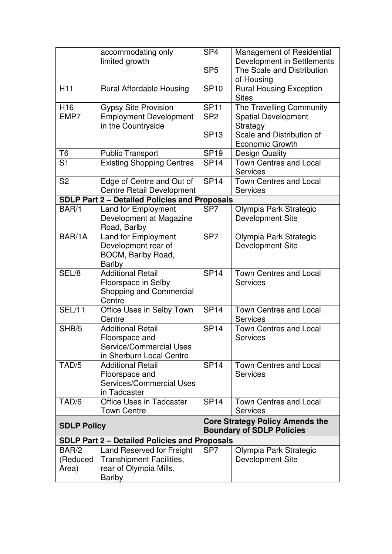|                                                      | accommodating only                                                                                      | SP <sub>4</sub>                                                            | Management of Residential                                              |  |
|------------------------------------------------------|---------------------------------------------------------------------------------------------------------|----------------------------------------------------------------------------|------------------------------------------------------------------------|--|
|                                                      | limited growth                                                                                          | SP <sub>5</sub>                                                            | Development in Settlements<br>The Scale and Distribution<br>of Housing |  |
| H <sub>11</sub>                                      | Rural Affordable Housing                                                                                | <b>SP10</b>                                                                | <b>Rural Housing Exception</b><br><b>Sites</b>                         |  |
| H <sub>16</sub>                                      | <b>Gypsy Site Provision</b>                                                                             | <b>SP11</b>                                                                | The Travelling Community                                               |  |
| EMP7                                                 | <b>Employment Development</b><br>in the Countryside                                                     | SP <sub>2</sub>                                                            | <b>Spatial Development</b><br>Strategy                                 |  |
|                                                      |                                                                                                         | <b>SP13</b>                                                                | Scale and Distribution of<br><b>Economic Growth</b>                    |  |
| T <sub>6</sub>                                       | <b>Public Transport</b>                                                                                 | <b>SP19</b>                                                                | <b>Design Quality</b>                                                  |  |
| S <sub>1</sub>                                       | <b>Existing Shopping Centres</b>                                                                        | <b>SP14</b>                                                                | <b>Town Centres and Local</b><br><b>Services</b>                       |  |
| S <sub>2</sub>                                       | Edge of Centre and Out of<br><b>Centre Retail Development</b>                                           | <b>SP14</b>                                                                | <b>Town Centres and Local</b><br><b>Services</b>                       |  |
|                                                      | <b>SDLP Part 2 - Detailed Policies and Proposals</b>                                                    |                                                                            |                                                                        |  |
| BAR/1                                                | <b>Land for Employment</b><br>Development at Magazine<br>Road, Barlby                                   | SP <sub>7</sub>                                                            | Olympia Park Strategic<br><b>Development Site</b>                      |  |
| BAR/1A                                               | Land for Employment<br>Development rear of<br>BOCM, Barlby Road,<br><b>Barlby</b>                       | SP <sub>7</sub>                                                            | Olympia Park Strategic<br>Development Site                             |  |
| SEL/8                                                | <b>Additional Retail</b><br>Floorspace in Selby<br><b>Shopping and Commercial</b><br>Centre             | <b>SP14</b>                                                                | Town Centres and Local<br><b>Services</b>                              |  |
| <b>SEL/11</b>                                        | Office Uses in Selby Town<br>Centre                                                                     | <b>SP14</b>                                                                | Town Centres and Local<br><b>Services</b>                              |  |
| SHB/5                                                | <b>Additional Retail</b><br>Floorspace and<br>Service/Commercial Uses<br>in Sherburn Local Centre       | <b>SP14</b>                                                                | <b>Town Centres and Local</b><br><b>Services</b>                       |  |
| TAD/5                                                | <b>Additional Retail</b><br>Floorspace and<br>Services/Commercial Uses<br>in Tadcaster                  | <b>SP14</b>                                                                | <b>Town Centres and Local</b><br>Services                              |  |
| TAD/6                                                | <b>Office Uses in Tadcaster</b><br><b>Town Centre</b>                                                   | <b>SP14</b>                                                                | <b>Town Centres and Local</b><br><b>Services</b>                       |  |
| <b>SDLP Policy</b>                                   |                                                                                                         | <b>Core Strategy Policy Amends the</b><br><b>Boundary of SDLP Policies</b> |                                                                        |  |
| <b>SDLP Part 2 - Detailed Policies and Proposals</b> |                                                                                                         |                                                                            |                                                                        |  |
| BAR/2<br>(Reduced<br>Area)                           | Land Reserved for Freight<br><b>Transhipment Facilities,</b><br>rear of Olympia Mills,<br><b>Barlby</b> | SP <sub>7</sub>                                                            | Olympia Park Strategic<br><b>Development Site</b>                      |  |